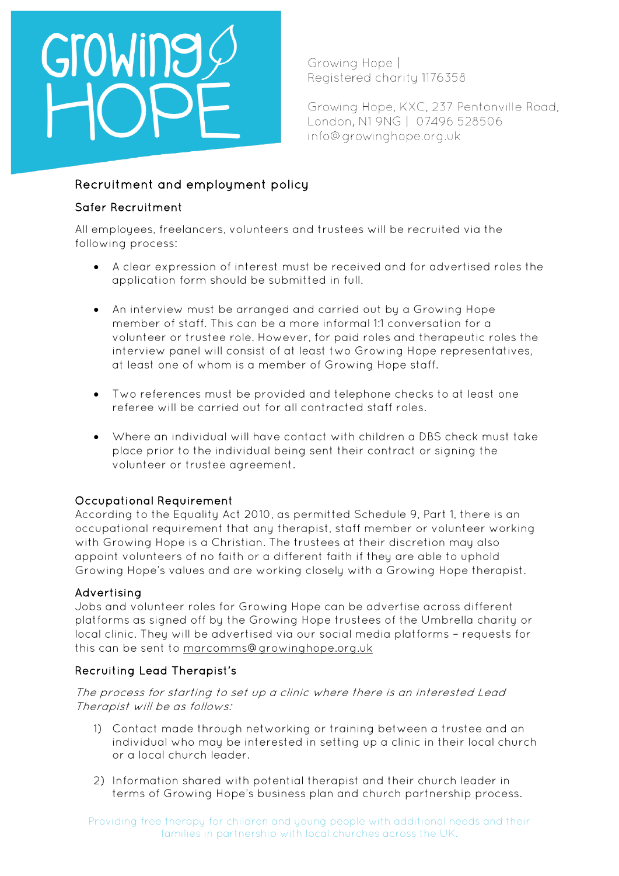# GroWing

Growing Hope | Reaistered charity 1176358

Growing Hope, KXC, 237 Pentonville Road, London, N1 9NG | 07496 528506 info@growinghope.org.uk

# Recruitment and employment policy

### Safer Recruitment

All employees, freelancers, volunteers and trustees will be recruited via the following process:

- A clear expression of interest must be received and for advertised roles the application form should be submitted in full.
- An interview must be arranged and carried out by a Growing Hope member of staff. This can be a more informal 1:1 conversation for a volunteer or trustee role. However, for paid roles and therapeutic roles the interview panel will consist of at least two Growing Hope representatives, at least one of whom is a member of Growing Hope staff.
- Two references must be provided and telephone checks to at least one referee will be carried out for all contracted staff roles.
- Where an individual will have contact with children a DBS check must take place prior to the individual being sent their contract or signing the volunteer or trustee agreement.

## Occupational Requirement

According to the Equality Act 2010, as permitted Schedule 9, Part 1, there is an occupational requirement that any therapist, staff member or volunteer working with Growing Hope is a Christian. The trustees at their discretion may also appoint volunteers of no faith or a different faith if they are able to uphold Growing Hope's values and are working closely with a Growing Hope therapist.

## Advertising

Jobs and volunteer roles for Growing Hope can be advertise across different platforms as signed off by the Growing Hope trustees of the Umbrella charity or local clinic. They will be advertised via our social media platforms – requests for this can be sent to [marcomms@growinghope.org.uk](mailto:marcomms@growinghope.org.uk)

## Recruiting Lead Therapist's

The process for starting to set up a clinic where there is an interested Lead Therapist will be as follows:

- 1) Contact made through networking or training between a trustee and an individual who may be interested in setting up a clinic in their local church or a local church leader.
- 2) Information shared with potential therapist and their church leader in terms of Growing Hope's business plan and church partnership process.

Providing free therapy for children and young people with additional needs and their families in partnership with local churches across the UK.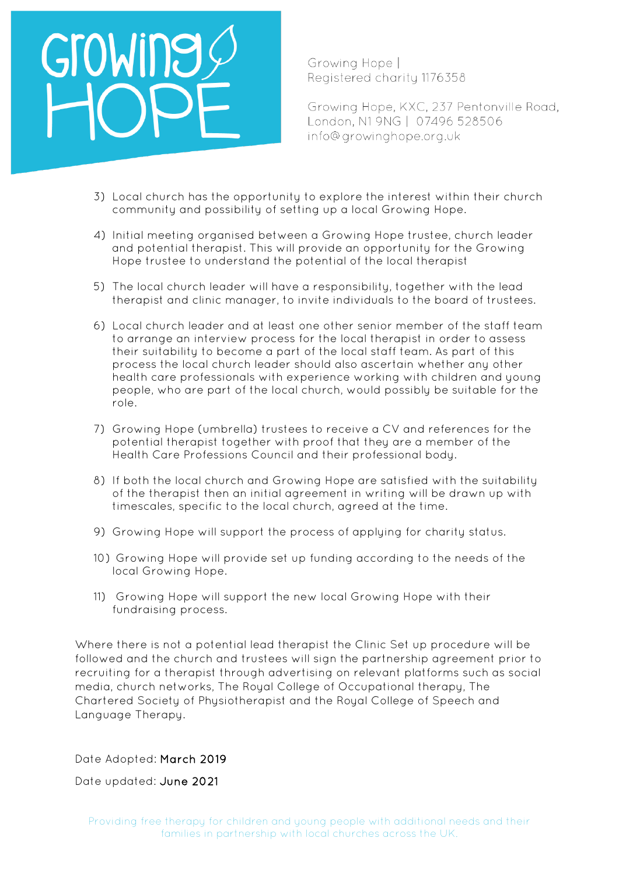

Growing Hope | Reaistered charity 1176358

Growing Hope, KXC, 237 Pentonville Road, London, N1 9NG | 07496 528506 info@growinghope.org.uk

- 3) Local church has the opportunity to explore the interest within their church community and possibility of setting up a local Growing Hope.
- 4) Initial meeting organised between a Growing Hope trustee, church leader and potential therapist. This will provide an opportunity for the Growing Hope trustee to understand the potential of the local therapist
- 5) The local church leader will have a responsibility, together with the lead therapist and clinic manager, to invite individuals to the board of trustees.
- 6) Local church leader and at least one other senior member of the staff team to arrange an interview process for the local therapist in order to assess their suitability to become a part of the local staff team. As part of this process the local church leader should also ascertain whether any other health care professionals with experience working with children and young people, who are part of the local church, would possibly be suitable for the role.
- 7) Growing Hope (umbrella) trustees to receive a CV and references for the potential therapist together with proof that they are a member of the Health Care Professions Council and their professional body.
- 8) If both the local church and Growing Hope are satisfied with the suitability of the therapist then an initial agreement in writing will be drawn up with timescales, specific to the local church, agreed at the time.
- 9) Growing Hope will support the process of applying for charity status.
- 10) Growing Hope will provide set up funding according to the needs of the local Growing Hope.
- 11) Growing Hope will support the new local Growing Hope with their fundraising process.

Where there is not a potential lead therapist the Clinic Set up procedure will be followed and the church and trustees will sign the partnership agreement prior to recruiting for a therapist through advertising on relevant platforms such as social media, church networks, The Royal College of Occupational therapy, The Chartered Society of Physiotherapist and the Royal College of Speech and Language Therapy.

Date Adopted: March 2019

Date updated: June 2021